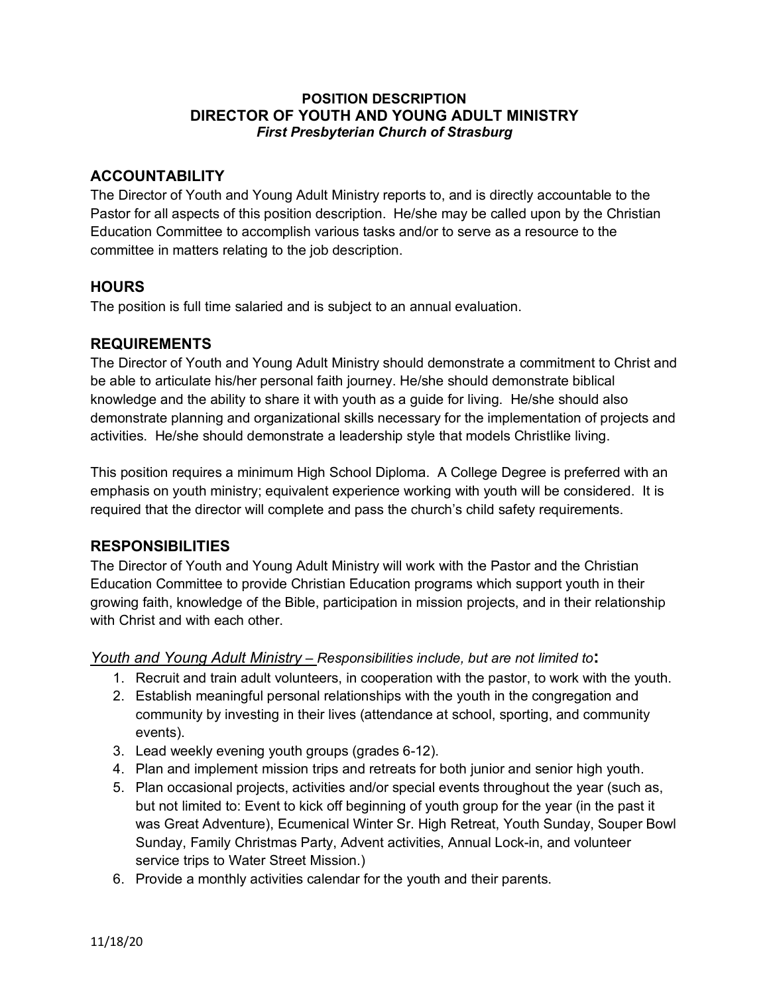#### **POSITION DESCRIPTION DIRECTOR OF YOUTH AND YOUNG ADULT MINISTRY** *First Presbyterian Church of Strasburg*

# **ACCOUNTABILITY**

The Director of Youth and Young Adult Ministry reports to, and is directly accountable to the Pastor for all aspects of this position description. He/she may be called upon by the Christian Education Committee to accomplish various tasks and/or to serve as a resource to the committee in matters relating to the job description.

## **HOURS**

The position is full time salaried and is subject to an annual evaluation.

## **REQUIREMENTS**

The Director of Youth and Young Adult Ministry should demonstrate a commitment to Christ and be able to articulate his/her personal faith journey. He/she should demonstrate biblical knowledge and the ability to share it with youth as a guide for living. He/she should also demonstrate planning and organizational skills necessary for the implementation of projects and activities. He/she should demonstrate a leadership style that models Christlike living.

This position requires a minimum High School Diploma. A College Degree is preferred with an emphasis on youth ministry; equivalent experience working with youth will be considered. It is required that the director will complete and pass the church's child safety requirements.

# **RESPONSIBILITIES**

The Director of Youth and Young Adult Ministry will work with the Pastor and the Christian Education Committee to provide Christian Education programs which support youth in their growing faith, knowledge of the Bible, participation in mission projects, and in their relationship with Christ and with each other.

## *Youth and Young Adult Ministry – Responsibilities include, but are not limited to***:**

- 1. Recruit and train adult volunteers, in cooperation with the pastor, to work with the youth.
- 2. Establish meaningful personal relationships with the youth in the congregation and community by investing in their lives (attendance at school, sporting, and community events).
- 3. Lead weekly evening youth groups (grades 6-12).
- 4. Plan and implement mission trips and retreats for both junior and senior high youth.
- 5. Plan occasional projects, activities and/or special events throughout the year (such as, but not limited to: Event to kick off beginning of youth group for the year (in the past it was Great Adventure), Ecumenical Winter Sr. High Retreat, Youth Sunday, Souper Bowl Sunday, Family Christmas Party, Advent activities, Annual Lock-in, and volunteer service trips to Water Street Mission.)
- 6. Provide a monthly activities calendar for the youth and their parents.